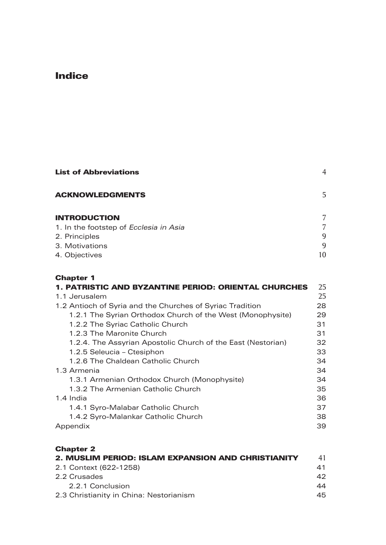# Indice

| <b>List of Abbreviations</b>           | $\overline{4}$ |
|----------------------------------------|----------------|
| <b>ACKNOWLEDGMENTS</b>                 | 5              |
| <b>INTRODUCTION</b>                    | 7              |
| 1. In the footstep of Ecclesia in Asia | 7              |
| 2. Principles                          | 9              |
| 3. Motivations                         | 9              |
| 4. Objectives                          | 10             |
| <b>Chapter 1</b>                       | n E            |

| <b>1. PATRISTIC AND BYZANTINE PERIOD: ORIENTAL CHURCHES</b>  | 25 |
|--------------------------------------------------------------|----|
| 1.1 Jerusalem                                                | 25 |
| 1.2 Antioch of Syria and the Churches of Syriac Tradition    | 28 |
| 1.2.1 The Syrian Orthodox Church of the West (Monophysite)   | 29 |
| 1.2.2 The Syriac Catholic Church                             | 31 |
| 1.2.3 The Maronite Church                                    | 31 |
| 1.2.4. The Assyrian Apostolic Church of the East (Nestorian) | 32 |
| 1.2.5 Seleucia – Ctesiphon                                   | 33 |
| 1.2.6 The Chaldean Catholic Church                           | 34 |
| 1.3 Armenia                                                  | 34 |
| 1.3.1 Armenian Orthodox Church (Monophysite)                 | 34 |
| 1.3.2 The Armenian Catholic Church                           | 35 |
| 1.4 India                                                    | 36 |
| 1.4.1 Syro-Malabar Catholic Church                           | 37 |
| 1.4.2 Syro-Malankar Catholic Church                          | 38 |
| Appendix                                                     | 39 |

| <b>Chapter 2</b>                                   |    |
|----------------------------------------------------|----|
| 2. MUSLIM PERIOD: ISLAM EXPANSION AND CHRISTIANITY | 41 |
| 2.1 Context (622-1258)                             | 41 |
| 2.2 Crusades                                       | 42 |
| 2.2.1 Conclusion                                   | 44 |
| 2.3 Christianity in China: Nestorianism            | 45 |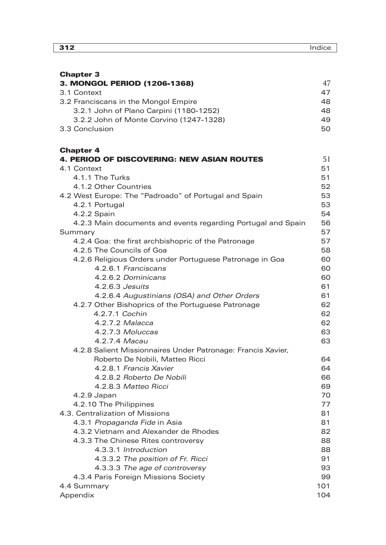| <b>Chapter 3</b>      |  |
|-----------------------|--|
| <b>3. MONGOL PERK</b> |  |

| 3. MONGOL PERIOD (1206-1368)            | 47  |
|-----------------------------------------|-----|
| 3.1 Context                             | 47  |
| 3.2 Franciscans in the Mongol Empire    | 48. |
| 3.2.1 John of Plano Carpini (1180-1252) | 48. |
| 3.2.2 John of Monte Corvino (1247-1328) | 49  |
| 3.3 Conclusion                          | 50. |

#### Chapter 4

| <b>4. PERIOD OF DISCOVERING: NEW ASIAN ROUTES</b>            | 51  |
|--------------------------------------------------------------|-----|
| 4.1 Context                                                  | 51  |
| 4.1.1 The Turks                                              | 51  |
| 4.1.2 Other Countries                                        | 52  |
| 4.2 West Europe: The "Padroado" of Portugal and Spain        | 53  |
| 4.2.1 Portugal                                               | 53  |
| 4.2.2 Spain                                                  | 54  |
| 4.2.3 Main documents and events regarding Portugal and Spain | 56  |
| Summary                                                      | 57  |
| 4.2.4 Goa: the first archbishopric of the Patronage          | 57  |
| 4.2.5 The Councils of Goa                                    | 58  |
| 4.2.6 Religious Orders under Portuguese Patronage in Goa     | 60  |
| 4.2.6.1 Franciscans                                          | 60  |
| 4.2.6.2 Dominicans                                           | 60  |
| 4.2.6.3 Jesuits                                              | 61  |
| 4.2.6.4 Augustinians (OSA) and Other Orders                  | 61  |
| 4.2.7 Other Bishoprics of the Portuguese Patronage           | 62  |
| 4.2.7.1 Cochin                                               | 62  |
| 4.2.7.2 Malacca                                              | 62  |
| 4.2.7.3 Moluccas                                             | 63  |
| 4.2.7.4 Macau                                                | 63  |
| 4.2.8 Salient Missionnaires Under Patronage: Francis Xavier, |     |
| Roberto De Nobili, Matteo Ricci                              | 64  |
| 4.2.8.1 Francis Xavier                                       | 64  |
| 4.2.8.2 Roberto De Nobili                                    | 66  |
| 4.2.8.3 Matteo Ricci                                         | 69  |
| 4.2.9 Japan                                                  | 70  |
| 4.2.10 The Philippines                                       | 77  |
| 4.3. Centralization of Missions                              | 81  |
| 4.3.1 Propaganda Fide in Asia                                | 81  |
| 4.3.2 Vietnam and Alexander de Rhodes                        | 82  |
| 4.3.3 The Chinese Rites controversy                          | 88  |
| 4.3.3.1 Introduction                                         | 88  |
| 4.3.3.2 The position of Fr. Ricci                            | 91  |
| 4.3.3.3 The age of controversy                               | 93  |
| 4.3.4 Paris Foreign Missions Society                         | 99  |
| 4.4 Summary                                                  | 101 |
| Appendix                                                     | 104 |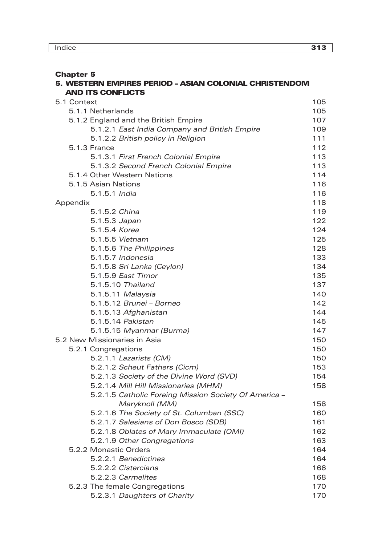## Chapter 5

#### 5. WESTERN EMPIRES PERIOD - ASIAN COLONIAL CHRISTENDOM ANd ITS CONFLICTS

| 5.1 Context                                           | 105 |
|-------------------------------------------------------|-----|
| 5.1.1 Netherlands                                     | 105 |
| 5.1.2 England and the British Empire                  | 107 |
| 5.1.2.1 East India Company and British Empire         | 109 |
| 5.1.2.2 British policy in Religion                    | 111 |
| 5.1.3 France                                          | 112 |
| 5.1.3.1 First French Colonial Empire                  | 113 |
| 5.1.3.2 Second French Colonial Empire                 | 113 |
| 5.1.4 Other Western Nations                           | 114 |
| 5.1.5 Asian Nations                                   | 116 |
| 5.1.5.1 India                                         | 116 |
| Appendix                                              | 118 |
| 5.1.5.2 China                                         | 119 |
| 5.1.5.3 Japan                                         | 122 |
| 5.1.5.4 Korea                                         | 124 |
| 5.1.5.5 Vietnam                                       | 125 |
| 5.1.5.6 The Philippines                               | 128 |
| 5.1.5.7 Indonesia                                     | 133 |
| 5.1.5.8 Sri Lanka (Ceylon)                            | 134 |
| 5.1.5.9 East Timor                                    | 135 |
| 5.1.5.10 Thailand                                     | 137 |
| 5.1.5.11 Malaysia                                     | 140 |
| 5.1.5.12 Brunei - Borneo                              | 142 |
| 5.1.5.13 Afghanistan                                  | 144 |
| 5.1.5.14 Pakistan                                     | 145 |
| 5.1.5.15 Myanmar (Burma)                              | 147 |
| 5.2 New Missionaries in Asia                          | 150 |
| 5.2.1 Congregations                                   | 150 |
| 5.2.1.1 Lazarists (CM)                                | 150 |
| 5.2.1.2 Scheut Fathers (Cicm)                         | 153 |
| 5.2.1.3 Society of the Divine Word (SVD)              | 154 |
| 5.2.1.4 Mill Hill Missionaries (MHM)                  | 158 |
| 5.2.1.5 Catholic Foreing Mission Society Of America - |     |
| Maryknoll (MM)                                        | 158 |
| 5.2.1.6 The Society of St. Columban (SSC)             | 160 |
| 5.2.1.7 Salesians of Don Bosco (SDB)                  | 161 |
| 5.2.1.8 Oblates of Mary Immaculate (OMI)              | 162 |
| 5.2.1.9 Other Congregations                           | 163 |
| 5.2.2 Monastic Orders                                 | 164 |
| 5.2.2.1 Benedictines                                  | 164 |
| 5.2.2.2 Cistercians                                   | 166 |
| 5.2.2.3 Carmelites                                    | 168 |
| 5.2.3 The female Congregations                        | 170 |
| 5.2.3.1 Daughters of Charity                          | 170 |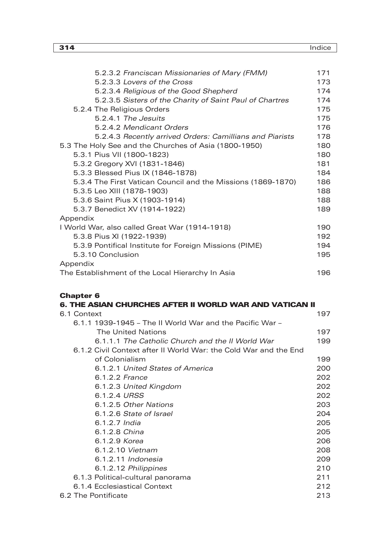| 314                                                          | Indice |
|--------------------------------------------------------------|--------|
|                                                              |        |
| 5.2.3.2 Franciscan Missionaries of Mary (FMM)                | 171    |
| 5.2.3.3 Lovers of the Cross                                  | 173    |
| 5.2.3.4 Religious of the Good Shepherd                       | 174    |
| 5.2.3.5 Sisters of the Charity of Saint Paul of Chartres     | 174    |
| 5.2.4 The Religious Orders                                   | 175    |
| 5.2.4.1 The Jesuits                                          | 175    |
| 5.2.4.2 Mendicant Orders                                     | 176    |
| 5.2.4.3 Recently arrived Orders: Camillians and Piarists     | 178    |
| 5.3 The Holy See and the Churches of Asia (1800-1950)        | 180    |
| 5.3.1 Pius VII (1800-1823)                                   | 180    |
| 5.3.2 Gregory XVI (1831-1846)                                | 181    |
| 5.3.3 Blessed Pius IX (1846-1878)                            | 184    |
| 5.3.4 The First Vatican Council and the Missions (1869-1870) | 186    |
| 5.3.5 Leo XIII (1878-1903)                                   | 188    |
| 5.3.6 Saint Pius X (1903-1914)                               | 188    |
| 5.3.7 Benedict XV (1914-1922)                                | 189    |
| Appendix                                                     |        |
| I World War, also called Great War (1914-1918)               | 190    |
| 5.3.8 Pius XI (1922-1939)                                    | 192    |
| 5.3.9 Pontifical Institute for Foreign Missions (PIME)       | 194    |
| 5.3.10 Conclusion                                            | 195    |
| Appendix                                                     |        |

| Appendix                                         |     |
|--------------------------------------------------|-----|
| The Establishment of the Local Hierarchy In Asia | 196 |

### Chapter 6

| 6. THE ASIAN CHURCHES AFTER II WORLD WAR AND VATICAN II |
|---------------------------------------------------------|
| 197                                                     |
|                                                         |
| 197                                                     |
| 199                                                     |
|                                                         |
| 199                                                     |
| 200                                                     |
| 202                                                     |
| 202                                                     |
| 202                                                     |
| 203                                                     |
| 204                                                     |
| 205                                                     |
| 205                                                     |
| 206                                                     |
| 208                                                     |
| 209                                                     |
| 210                                                     |
| 211                                                     |
| 212                                                     |
| 213                                                     |
|                                                         |